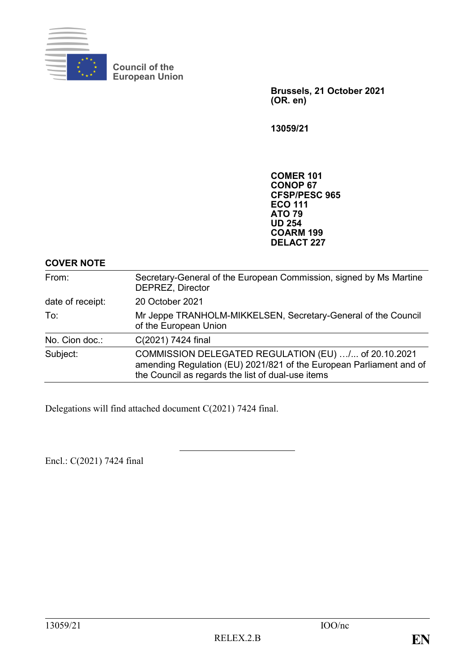

**Council of the European Union**

> **Brussels, 21 October 2021 (OR. en)**

**13059/21**

**COMER 101 CONOP 67 CFSP/PESC 965 ECO 111 ATO 79 UD 254 COARM 199 DELACT 227**

**COVER NOTE**

| From:            | Secretary-General of the European Commission, signed by Ms Martine<br><b>DEPREZ, Director</b>                                                                                    |
|------------------|----------------------------------------------------------------------------------------------------------------------------------------------------------------------------------|
| date of receipt: | 20 October 2021                                                                                                                                                                  |
| To:              | Mr Jeppe TRANHOLM-MIKKELSEN, Secretary-General of the Council<br>of the European Union                                                                                           |
| No. Cion doc.:   | C(2021) 7424 final                                                                                                                                                               |
| Subject:         | COMMISSION DELEGATED REGULATION (EU) / of 20.10.2021<br>amending Regulation (EU) 2021/821 of the European Parliament and of<br>the Council as regards the list of dual-use items |

Delegations will find attached document C(2021) 7424 final.

Encl.: C(2021) 7424 final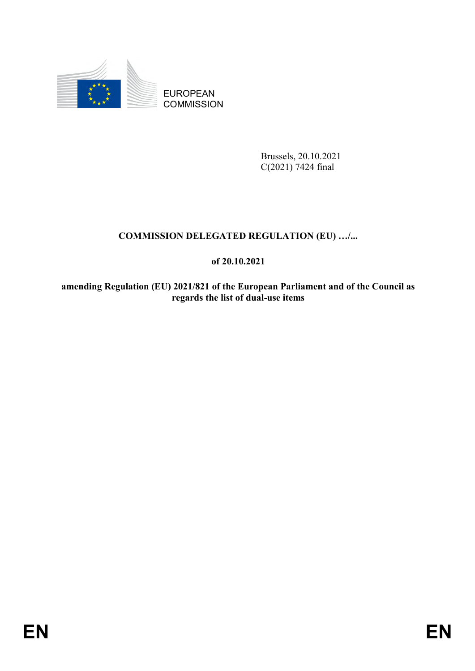

EUROPEAN **COMMISSION** 

> Brussels, 20.10.2021 C(2021) 7424 final

# **COMMISSION DELEGATED REGULATION (EU) …/...**

## **of 20.10.2021**

**amending Regulation (EU) 2021/821 of the European Parliament and of the Council as regards the list of dual-use items**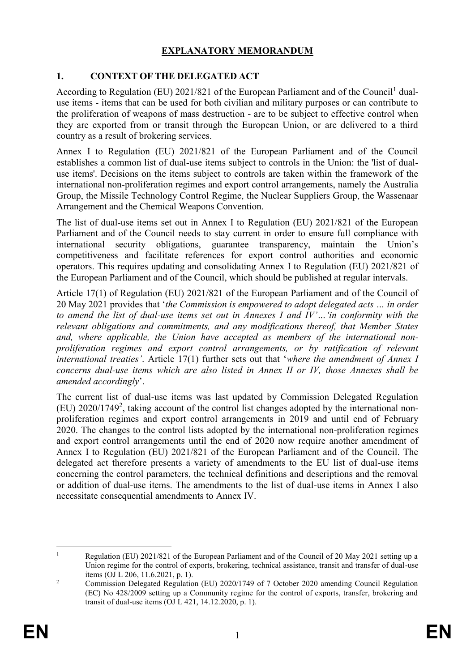## **EXPLANATORY MEMORANDUM**

## **1. CONTEXT OF THE DELEGATED ACT**

According to Regulation (EU) 2021/821 of the European Parliament and of the Council<sup>1</sup> dualuse items - items that can be used for both civilian and military purposes or can contribute to the proliferation of weapons of mass destruction - are to be subject to effective control when they are exported from or transit through the European Union, or are delivered to a third country as a result of brokering services.

Annex I to Regulation (EU) 2021/821 of the European Parliament and of the Council establishes a common list of dual-use items subject to controls in the Union: the 'list of dualuse items'. Decisions on the items subject to controls are taken within the framework of the international non-proliferation regimes and export control arrangements, namely the Australia Group, the Missile Technology Control Regime, the Nuclear Suppliers Group, the Wassenaar Arrangement and the Chemical Weapons Convention.

The list of dual-use items set out in Annex I to Regulation (EU) 2021/821 of the European Parliament and of the Council needs to stay current in order to ensure full compliance with international security obligations, guarantee transparency, maintain the Union's competitiveness and facilitate references for export control authorities and economic operators. This requires updating and consolidating Annex I to Regulation (EU) 2021/821 of the European Parliament and of the Council, which should be published at regular intervals.

Article 17(1) of Regulation (EU) 2021/821 of the European Parliament and of the Council of 20 May 2021 provides that ʻ*the Commission is empowered to adopt delegated acts … in order to amend the list of dual-use items set out in Annexes I and IV'…ʻin conformity with the relevant obligations and commitments, and any modifications thereof, that Member States and, where applicable, the Union have accepted as members of the international nonproliferation regimes and export control arrangements, or by ratification of relevant international treaties'*. Article 17(1) further sets out that ʻ*where the amendment of Annex I concerns dual-use items which are also listed in Annex II or IV, those Annexes shall be amended accordingly*'.

The current list of dual-use items was last updated by Commission Delegated Regulation (EU) 2020/1749<sup>2</sup>, taking account of the control list changes adopted by the international nonproliferation regimes and export control arrangements in 2019 and until end of February 2020. The changes to the control lists adopted by the international non-proliferation regimes and export control arrangements until the end of 2020 now require another amendment of Annex I to Regulation (EU) 2021/821 of the European Parliament and of the Council. The delegated act therefore presents a variety of amendments to the EU list of dual-use items concerning the control parameters, the technical definitions and descriptions and the removal or addition of dual-use items. The amendments to the list of dual-use items in Annex I also necessitate consequential amendments to Annex IV.

<sup>1</sup> <sup>1</sup> Regulation (EU) 2021/821 of the European Parliament and of the Council of 20 May 2021 setting up a Union regime for the control of exports, brokering, technical assistance, transit and transfer of dual-use items (OJ L 206, 11.6.2021, p. 1).

<sup>&</sup>lt;sup>2</sup> Commission Delegated Regulation (EU) 2020/1749 of 7 October 2020 amending Council Regulation (EC) No 428/2009 setting up a Community regime for the control of exports, transfer, brokering and transit of dual-use items (OJ L 421, 14.12.2020, p. 1).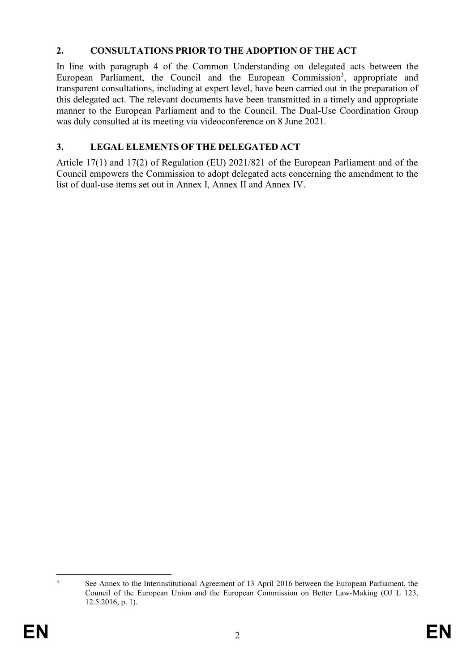### **2. CONSULTATIONS PRIOR TO THE ADOPTION OF THE ACT**

In line with paragraph 4 of the Common Understanding on delegated acts between the European Parliament, the Council and the European Commission<sup>3</sup>, appropriate and transparent consultations, including at expert level, have been carried out in the preparation of this delegated act. The relevant documents have been transmitted in a timely and appropriate manner to the European Parliament and to the Council. The Dual-Use Coordination Group was duly consulted at its meeting via videoconference on 8 June 2021.

# **3. LEGAL ELEMENTS OF THE DELEGATED ACT**

Article 17(1) and 17(2) of Regulation (EU) 2021/821 of the European Parliament and of the Council empowers the Commission to adopt delegated acts concerning the amendment to the list of dual-use items set out in Annex I, Annex II and Annex IV.

1

<sup>&</sup>lt;sup>3</sup> See Annex to the Interinstitutional Agreement of 13 April 2016 between the European Parliament, the Council of the European Union and the European Commission on Better Law-Making (OJ L 123, 12.5.2016, p. 1).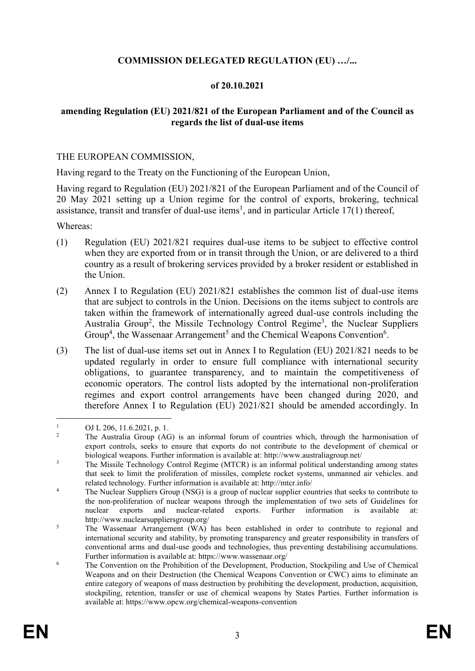### **COMMISSION DELEGATED REGULATION (EU) …/...**

#### **of 20.10.2021**

#### **amending Regulation (EU) 2021/821 of the European Parliament and of the Council as regards the list of dual-use items**

#### THE EUROPEAN COMMISSION,

Having regard to the Treaty on the Functioning of the European Union,

Having regard to Regulation (EU) 2021/821 of the European Parliament and of the Council of 20 May 2021 setting up a Union regime for the control of exports, brokering, technical assistance, transit and transfer of dual-use items<sup>1</sup>, and in particular Article 17(1) thereof,

Whereas:

- (1) Regulation (EU) 2021/821 requires dual-use items to be subject to effective control when they are exported from or in transit through the Union, or are delivered to a third country as a result of brokering services provided by a broker resident or established in the Union.
- (2) Annex I to Regulation (EU) 2021/821 establishes the common list of dual-use items that are subject to controls in the Union. Decisions on the items subject to controls are taken within the framework of internationally agreed dual-use controls including the Australia Group<sup>2</sup>, the Missile Technology Control Regime<sup>3</sup>, the Nuclear Suppliers Group<sup>4</sup>, the Wassenaar Arrangement<sup>5</sup> and the Chemical Weapons Convention<sup>6</sup>.
- (3) The list of dual-use items set out in Annex I to Regulation (EU) 2021/821 needs to be updated regularly in order to ensure full compliance with international security obligations, to guarantee transparency, and to maintain the competitiveness of economic operators. The control lists adopted by the international non-proliferation regimes and export control arrangements have been changed during 2020, and therefore Annex I to Regulation (EU) 2021/821 should be amended accordingly. In

<sup>&</sup>lt;u>.</u>  $\frac{1}{2}$  OJ L 206, 11.6.2021, p. 1.

The Australia Group (AG) is an informal forum of countries which, through the harmonisation of export controls, seeks to ensure that exports do not contribute to the development of chemical or biological weapons. Further information is available at: http://www.australiagroup.net/

<sup>&</sup>lt;sup>3</sup> The Missile Technology Control Regime (MTCR) is an informal political understanding among states that seek to limit the proliferation of missiles, complete rocket systems, unmanned air vehicles. and related technology. Further information is available at: http://mtcr.info/

<sup>&</sup>lt;sup>4</sup> The Nuclear Suppliers Group (NSG) is a group of nuclear supplier countries that seeks to contribute to the non-proliferation of nuclear weapons through the implementation of two sets of Guidelines for nuclear exports and nuclear-related exports. Further information is available at: http://www.nuclearsuppliersgroup.org/

<sup>&</sup>lt;sup>5</sup> The Wassenaar Arrangement (WA) has been established in order to contribute to regional and international security and stability, by promoting transparency and greater responsibility in transfers of conventional arms and dual-use goods and technologies, thus preventing destabilising accumulations. Further information is available at: https://www.wassenaar.org/

 $6\degree$  The Convention on the Prohibition of the Development, Production, Stockpiling and Use of Chemical Weapons and on their Destruction (the Chemical Weapons Convention or CWC) aims to eliminate an entire category of weapons of mass destruction by prohibiting the development, production, acquisition, stockpiling, retention, transfer or use of chemical weapons by States Parties. Further information is available at: https://www.opcw.org/chemical-weapons-convention